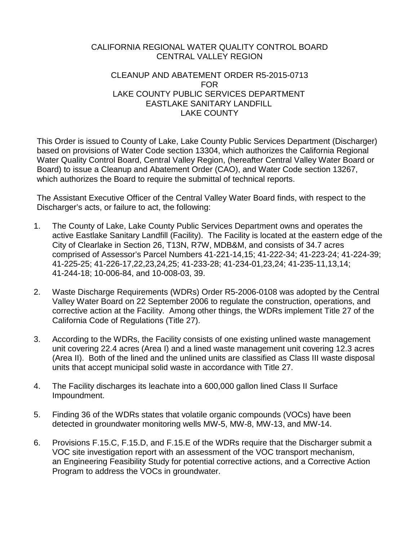# CALIFORNIA REGIONAL WATER QUALITY CONTROL BOARD CENTRAL VALLEY REGION

## CLEANUP AND ABATEMENT ORDER R5-2015-0713 FOR LAKE COUNTY PUBLIC SERVICES DEPARTMENT EASTLAKE SANITARY LANDFILL LAKE COUNTY

This Order is issued to County of Lake, Lake County Public Services Department (Discharger) based on provisions of Water Code section 13304, which authorizes the California Regional Water Quality Control Board, Central Valley Region, (hereafter Central Valley Water Board or Board) to issue a Cleanup and Abatement Order (CAO), and Water Code section 13267, which authorizes the Board to require the submittal of technical reports.

The Assistant Executive Officer of the Central Valley Water Board finds, with respect to the Discharger's acts, or failure to act, the following:

- 1. The County of Lake, Lake County Public Services Department owns and operates the active Eastlake Sanitary Landfill (Facility). The Facility is located at the eastern edge of the City of Clearlake in Section 26, T13N, R7W, MDB&M, and consists of 34.7 acres comprised of Assessor's Parcel Numbers 41-221-14,15; 41-222-34; 41-223-24; 41-224-39; 41-225-25; 41-226-17,22,23,24,25; 41-233-28; 41-234-01,23,24; 41-235-11,13,14; 41-244-18; 10-006-84, and 10-008-03, 39.
- 2. Waste Discharge Requirements (WDRs) Order R5-2006-0108 was adopted by the Central Valley Water Board on 22 September 2006 to regulate the construction, operations, and corrective action at the Facility. Among other things, the WDRs implement Title 27 of the California Code of Regulations (Title 27).
- 3. According to the WDRs, the Facility consists of one existing unlined waste management unit covering 22.4 acres (Area I) and a lined waste management unit covering 12.3 acres (Area II). Both of the lined and the unlined units are classified as Class III waste disposal units that accept municipal solid waste in accordance with Title 27.
- 4. The Facility discharges its leachate into a 600,000 gallon lined Class II Surface Impoundment.
- 5. Finding 36 of the WDRs states that volatile organic compounds (VOCs) have been detected in groundwater monitoring wells MW-5, MW-8, MW-13, and MW-14.
- <span id="page-0-0"></span>6. Provisions F.15.C, F.15.D, and F.15.E of the WDRs require that the Discharger submit a VOC site investigation report with an assessment of the VOC transport mechanism, an Engineering Feasibility Study for potential corrective actions, and a Corrective Action Program to address the VOCs in groundwater.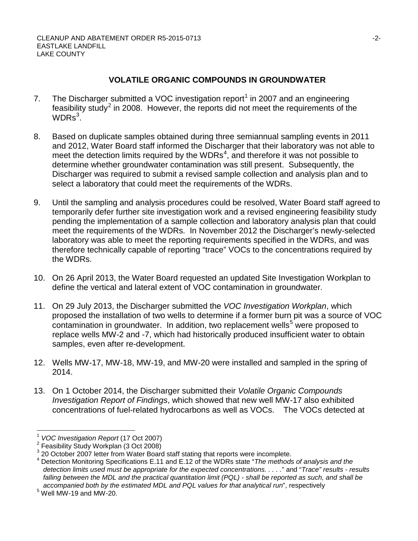# **VOLATILE ORGANIC COMPOUNDS IN GROUNDWATER**

- 7. The Discharger submitted a VOC investigation report<sup>[1](#page-0-0)</sup> in 2007 and an engineering feasibility study<sup>[2](#page-1-0)</sup> in 2008. However, the reports did not meet the requirements of the  $WDRs<sup>3</sup>$  $WDRs<sup>3</sup>$  $WDRs<sup>3</sup>$ .
- 8. Based on duplicate samples obtained during three semiannual sampling events in 2011 and 2012, Water Board staff informed the Discharger that their laboratory was not able to meet the detection limits required by the WDRs<sup>[4](#page-1-2)</sup>, and therefore it was not possible to determine whether groundwater contamination was still present. Subsequently, the Discharger was required to submit a revised sample collection and analysis plan and to select a laboratory that could meet the requirements of the WDRs.
- 9. Until the sampling and analysis procedures could be resolved, Water Board staff agreed to temporarily defer further site investigation work and a revised engineering feasibility study pending the implementation of a sample collection and laboratory analysis plan that could meet the requirements of the WDRs. In November 2012 the Discharger's newly-selected laboratory was able to meet the reporting requirements specified in the WDRs, and was therefore technically capable of reporting "trace" VOCs to the concentrations required by the WDRs.
- 10. On 26 April 2013, the Water Board requested an updated Site Investigation Workplan to define the vertical and lateral extent of VOC contamination in groundwater.
- 11. On 29 July 2013, the Discharger submitted the *VOC Investigation Workplan*, which proposed the installation of two wells to determine if a former burn pit was a source of VOC contamination in groundwater. In addition, two replacement wells<sup>[5](#page-1-3)</sup> were proposed to replace wells MW-2 and -7, which had historically produced insufficient water to obtain samples, even after re-development.
- 12. Wells MW-17, MW-18, MW-19, and MW-20 were installed and sampled in the spring of 2014.
- 13. On 1 October 2014, the Discharger submitted their *Volatile Organic Compounds Investigation Report of Findings*, which showed that new well MW-17 also exhibited concentrations of fuel-related hydrocarbons as well as VOCs. The VOCs detected at

<span id="page-1-0"></span><sup>&</sup>lt;sup>1</sup> *VOC Investigation Report* (17 Oct 2007)<br><sup>2</sup> Feasibility Study Workplan (3 Oct 2008)<br><sup>3</sup> 20 October 2007 letter from Water Board staff stating that reports were incomplete.

<span id="page-1-4"></span><span id="page-1-2"></span><span id="page-1-1"></span>Detection Monitoring Specifications E.11 and E.12 of the WDRs state "The methods of analysis and the *detection limits used must be appropriate for the expected concentrations. . . . .*" and "*Trace" results - results falling between the MDL and the practical quantitation limit (PQL) - shall be reported as such, and shall be accompanied both by the estimated MDL and PQL values for that analytical run*", respectively

<span id="page-1-3"></span> $5$  Well MW-19 and MW-20.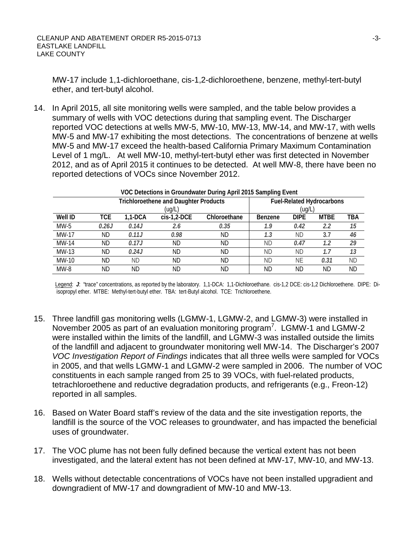MW-17 include 1,1-dichloroethane, cis-1,2-dichloroethene, benzene, methyl-tert-butyl ether, and tert-butyl alcohol.

14. In April 2015, all site monitoring wells were sampled, and the table below provides a summary of wells with VOC detections during that sampling event. The Discharger reported VOC detections at wells MW-5, MW-10, MW-13, MW-14, and MW-17, with wells MW-5 and MW-17 exhibiting the most detections. The concentrations of benzene at wells MW-5 and MW-17 exceed the health-based California Primary Maximum Contamination Level of 1 mg/L. At well MW-10, methyl-tert-butyl ether was first detected in November 2012, and as of April 2015 it continues to be detected. At well MW-8, there have been no reported detections of VOCs since November 2012.

| VOC Detections in Groundwater During April 2015 Sampling Event |                                              |           |               |              |                                  |             |             |            |
|----------------------------------------------------------------|----------------------------------------------|-----------|---------------|--------------|----------------------------------|-------------|-------------|------------|
|                                                                | <b>Trichloroethene and Daughter Products</b> |           |               |              | <b>Fuel-Related Hydrocarbons</b> |             |             |            |
|                                                                | (ug/L)                                       |           |               |              | (ug/L                            |             |             |            |
| Well ID                                                        | TCE                                          | $1.1-DCA$ | $cis-1,2-DCE$ | Chloroethane | Benzene                          | <b>DIPE</b> | <b>MTBE</b> | <b>TBA</b> |
| $MW-5$                                                         | 0.26J                                        | 0.14J     | 2.6           | 0.35         | 1.9                              | 0.42        | 2.2         | 15         |
| MW-17                                                          | ΝD                                           | 0.11J     | 0.98          | ND           | 1.3                              | ND          | 3.7         | 46         |
| MW-14                                                          | ΝD                                           | 0.17J     | <b>ND</b>     | ND           | <b>ND</b>                        | 0.47        | 1.2         | 29         |
| MW-13                                                          | ΝD                                           | 0.24J     | ND.           | ND           | ND.                              | <b>ND</b>   | 1.7         | 13         |
| MW-10                                                          | ND                                           | ΝD        | ND            | ND.          | <b>ND</b>                        | ΝE          | 0.31        | <b>ND</b>  |
| $MW-8$                                                         | ΝD                                           | ND        | ND.           | ND           | ND                               | ND          | ND.         | ND         |

Legend: *J*: "trace" concentrations, as reported by the laboratory. 1,1-DCA: 1,1-Dichloroethane. cis-1,2 DCE: cis-1,2 Dichloroethene. DIPE: Diisopropyl ether. MTBE: Methyl-tert-butyl ether. TBA: tert-Butyl alcohol. TCE: Trichloroethene.

- 15. Three landfill gas monitoring wells (LGMW-1, LGMW-2, and LGMW-3) were installed in November 2005 as part of an evaluation monitoring program<sup>7</sup>. LGMW-1 and LGMW-2 were installed within the limits of the landfill, and LGMW-3 was installed outside the limits of the landfill and adjacent to groundwater monitoring well MW-14. The Discharger's 2007 *VOC Investigation Report of Findings* indicates that all three wells were sampled for VOCs in 2005, and that wells LGMW-1 and LGMW-2 were sampled in 2006. The number of VOC constituents in each sample ranged from 25 to 39 VOCs, with fuel-related products, tetrachloroethene and reductive degradation products, and refrigerants (e.g., Freon-12) reported in all samples.
- 16. Based on Water Board staff's review of the data and the site investigation reports, the landfill is the source of the VOC releases to groundwater, and has impacted the beneficial uses of groundwater.
- 17. The VOC plume has not been fully defined because the vertical extent has not been investigated, and the lateral extent has not been defined at MW-17, MW-10, and MW-13.
- 18. Wells without detectable concentrations of VOCs have not been installed upgradient and downgradient of MW-17 and downgradient of MW-10 and MW-13.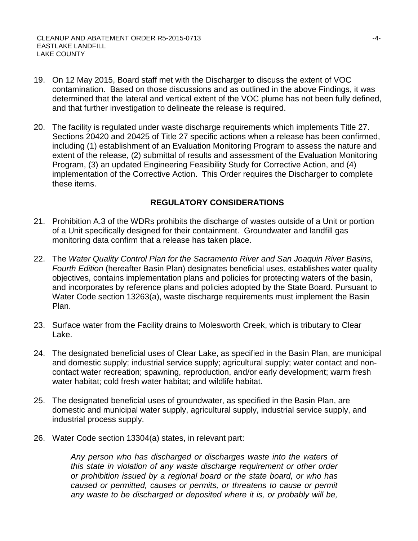- 19. On 12 May 2015, Board staff met with the Discharger to discuss the extent of VOC contamination. Based on those discussions and as outlined in the above Findings, it was determined that the lateral and vertical extent of the VOC plume has not been fully defined, and that further investigation to delineate the release is required.
- 20. The facility is regulated under waste discharge requirements which implements Title 27. Sections 20420 and 20425 of Title 27 specific actions when a release has been confirmed, including (1) establishment of an Evaluation Monitoring Program to assess the nature and extent of the release, (2) submittal of results and assessment of the Evaluation Monitoring Program, (3) an updated Engineering Feasibility Study for Corrective Action, and (4) implementation of the Corrective Action. This Order requires the Discharger to complete these items.

# **REGULATORY CONSIDERATIONS**

- 21. Prohibition A.3 of the WDRs prohibits the discharge of wastes outside of a Unit or portion of a Unit specifically designed for their containment. Groundwater and landfill gas monitoring data confirm that a release has taken place.
- 22. The *Water Quality Control Plan for the Sacramento River and San Joaquin River Basins, Fourth Edition* (hereafter Basin Plan) designates beneficial uses, establishes water quality objectives, contains implementation plans and policies for protecting waters of the basin, and incorporates by reference plans and policies adopted by the State Board. Pursuant to Water Code section 13263(a), waste discharge requirements must implement the Basin Plan.
- 23. Surface water from the Facility drains to Molesworth Creek, which is tributary to Clear Lake.
- 24. The designated beneficial uses of Clear Lake, as specified in the Basin Plan, are municipal and domestic supply; industrial service supply; agricultural supply; water contact and noncontact water recreation; spawning, reproduction, and/or early development; warm fresh water habitat; cold fresh water habitat; and wildlife habitat.
- 25. The designated beneficial uses of groundwater, as specified in the Basin Plan, are domestic and municipal water supply, agricultural supply, industrial service supply, and industrial process supply.
- 26. Water Code section 13304(a) states, in relevant part:

*Any person who has discharged or discharges waste into the waters of this state in violation of any waste discharge requirement or other order or prohibition issued by a regional board or the state board, or who has caused or permitted, causes or permits, or threatens to cause or permit any waste to be discharged or deposited where it is, or probably will be,*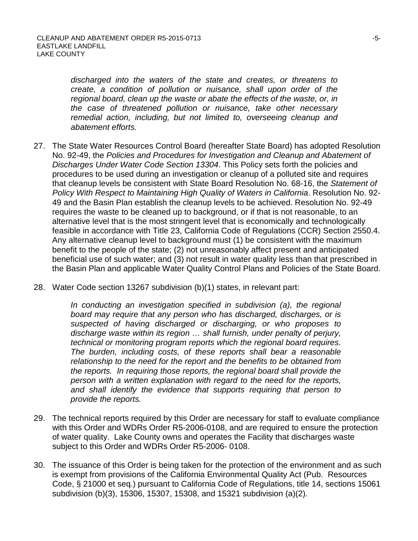*discharged into the waters of the state and creates, or threatens to create, a condition of pollution or nuisance, shall upon order of the regional board, clean up the waste or abate the effects of the waste, or, in the case of threatened pollution or nuisance, take other necessary remedial action, including, but not limited to, overseeing cleanup and abatement efforts.*

- 27. The State Water Resources Control Board (hereafter State Board) has adopted Resolution No. 92-49, the *Policies and Procedures for Investigation and Cleanup and Abatement of Discharges Under Water Code Section 13304*. This Policy sets forth the policies and procedures to be used during an investigation or cleanup of a polluted site and requires that cleanup levels be consistent with State Board Resolution No. 68-16, the *Statement of Policy With Respect to Maintaining High Quality of Waters in California*. Resolution No. 92- 49 and the Basin Plan establish the cleanup levels to be achieved. Resolution No. 92-49 requires the waste to be cleaned up to background, or if that is not reasonable, to an alternative level that is the most stringent level that is economically and technologically feasible in accordance with Title 23, California Code of Regulations (CCR) Section 2550.4. Any alternative cleanup level to background must (1) be consistent with the maximum benefit to the people of the state; (2) not unreasonably affect present and anticipated beneficial use of such water; and (3) not result in water quality less than that prescribed in the Basin Plan and applicable Water Quality Control Plans and Policies of the State Board.
- 28. Water Code section 13267 subdivision (b)(1) states, in relevant part:

In conducting an investigation specified in subdivision (a), the regional *board may require that any person who has discharged, discharges, or is suspected of having discharged or discharging, or who proposes to discharge waste within its region … shall furnish, under penalty of perjury, technical or monitoring program reports which the regional board requires. The burden, including costs, of these reports shall bear a reasonable relationship to the need for the report and the benefits to be obtained from the reports. In requiring those reports, the regional board shall provide the person with a written explanation with regard to the need for the reports, and shall identify the evidence that supports requiring that person to provide the reports.*

- 29. The technical reports required by this Order are necessary for staff to evaluate compliance with this Order and WDRs Order R5-2006-0108, and are required to ensure the protection of water quality. Lake County owns and operates the Facility that discharges waste subject to this Order and WDRs Order R5-2006- 0108.
- 30. The issuance of this Order is being taken for the protection of the environment and as such is exempt from provisions of the California Environmental Quality Act (Pub. Resources Code, § 21000 et seq.) pursuant to California Code of Regulations, title 14, sections 15061 subdivision (b)(3), 15306, 15307, 15308, and 15321 subdivision (a)(2).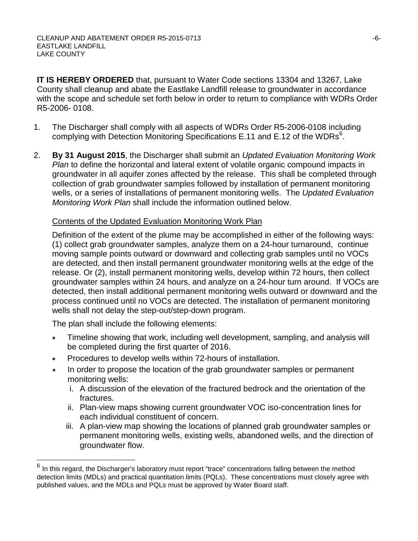**IT IS HEREBY ORDERED** that, pursuant to Water Code sections 13304 and 13267, Lake County shall cleanup and abate the Eastlake Landfill release to groundwater in accordance with the scope and schedule set forth below in order to return to compliance with WDRs Order R5-2006- 0108.

- 1. The Discharger shall comply with all aspects of WDRs Order R5-2006-0108 including complying with Detection Monitoring Specifications E.11 and E.12 of the WDRs<sup>[6](#page-1-4)</sup>.
- 2. **By 31 August 2015**, the Discharger shall submit an *Updated Evaluation Monitoring Work Plan* to define the horizontal and lateral extent of volatile organic compound impacts in groundwater in all aquifer zones affected by the release. This shall be completed through collection of grab groundwater samples followed by installation of permanent monitoring wells, or a series of installations of permanent monitoring wells. The *Updated Evaluation Monitoring Work Plan* shall include the information outlined below.

# Contents of the Updated Evaluation Monitoring Work Plan

Definition of the extent of the plume may be accomplished in either of the following ways: (1) collect grab groundwater samples, analyze them on a 24-hour turnaround, continue moving sample points outward or downward and collecting grab samples until no VOCs are detected, and then install permanent groundwater monitoring wells at the edge of the release. Or (2), install permanent monitoring wells, develop within 72 hours, then collect groundwater samples within 24 hours, and analyze on a 24-hour turn around. If VOCs are detected, then install additional permanent monitoring wells outward or downward and the process continued until no VOCs are detected. The installation of permanent monitoring wells shall not delay the step-out/step-down program.

The plan shall include the following elements:

- Timeline showing that work, including well development, sampling, and analysis will be completed during the first quarter of 2016.
- Procedures to develop wells within 72-hours of installation.
- In order to propose the location of the grab groundwater samples or permanent monitoring wells:
	- i. A discussion of the elevation of the fractured bedrock and the orientation of the fractures.
	- ii. Plan-view maps showing current groundwater VOC iso-concentration lines for each individual constituent of concern.
	- iii. A plan-view map showing the locations of planned grab groundwater samples or permanent monitoring wells, existing wells, abandoned wells, and the direction of groundwater flow.

In this regard, the Discharger's laboratory must report "trace" concentrations falling between the method detection limits (MDLs) and practical quantitation limits (PQLs). These concentrations must closely agree with published values, and the MDLs and PQLs must be approved by Water Board staff.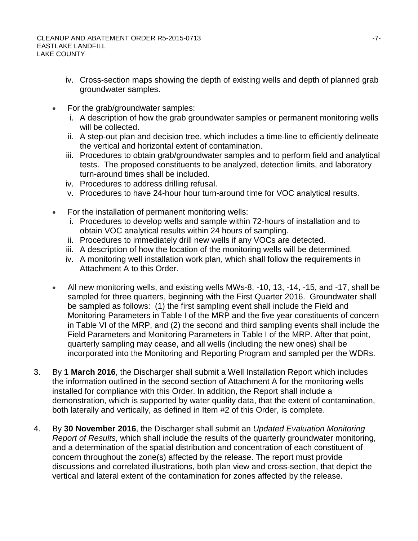- iv. Cross-section maps showing the depth of existing wells and depth of planned grab groundwater samples.
- For the grab/groundwater samples:
	- i. A description of how the grab groundwater samples or permanent monitoring wells will be collected.
	- ii. A step-out plan and decision tree, which includes a time-line to efficiently delineate the vertical and horizontal extent of contamination.
	- iii. Procedures to obtain grab/groundwater samples and to perform field and analytical tests. The proposed constituents to be analyzed, detection limits, and laboratory turn-around times shall be included.
	- iv. Procedures to address drilling refusal.
	- v. Procedures to have 24-hour hour turn-around time for VOC analytical results.
- For the installation of permanent monitoring wells:
	- i. Procedures to develop wells and sample within 72-hours of installation and to obtain VOC analytical results within 24 hours of sampling.
	- ii. Procedures to immediately drill new wells if any VOCs are detected.
	- iii. A description of how the location of the monitoring wells will be determined.
	- iv. A monitoring well installation work plan, which shall follow the requirements in Attachment A to this Order.
- All new monitoring wells, and existing wells MWs-8, -10, 13, -14, -15, and -17, shall be sampled for three quarters, beginning with the First Quarter 2016. Groundwater shall be sampled as follows: (1) the first sampling event shall include the Field and Monitoring Parameters in Table I of the MRP and the five year constituents of concern in Table VI of the MRP, and (2) the second and third sampling events shall include the Field Parameters and Monitoring Parameters in Table I of the MRP. After that point, quarterly sampling may cease, and all wells (including the new ones) shall be incorporated into the Monitoring and Reporting Program and sampled per the WDRs.
- 3. By **1 March 2016**, the Discharger shall submit a Well Installation Report which includes the information outlined in the second section of Attachment A for the monitoring wells installed for compliance with this Order. In addition, the Report shall include a demonstration, which is supported by water quality data, that the extent of contamination, both laterally and vertically, as defined in Item #2 of this Order, is complete.
- 4. By **30 November 2016**, the Discharger shall submit an *Updated Evaluation Monitoring Report of Results*, which shall include the results of the quarterly groundwater monitoring, and a determination of the spatial distribution and concentration of each constituent of concern throughout the zone(s) affected by the release. The report must provide discussions and correlated illustrations, both plan view and cross-section, that depict the vertical and lateral extent of the contamination for zones affected by the release.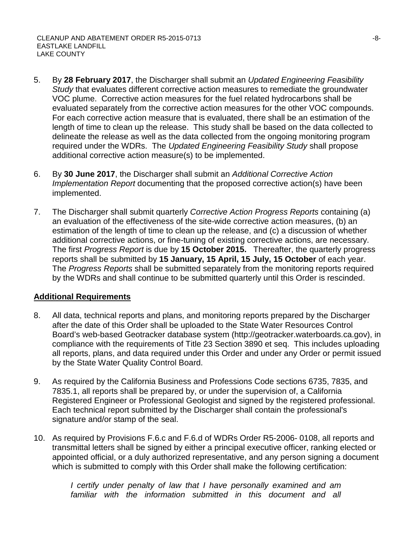- 5. By **28 February 2017**, the Discharger shall submit an *Updated Engineering Feasibility Study* that evaluates different corrective action measures to remediate the groundwater VOC plume. Corrective action measures for the fuel related hydrocarbons shall be evaluated separately from the corrective action measures for the other VOC compounds. For each corrective action measure that is evaluated, there shall be an estimation of the length of time to clean up the release. This study shall be based on the data collected to delineate the release as well as the data collected from the ongoing monitoring program required under the WDRs. The *Updated Engineering Feasibility Study* shall propose additional corrective action measure(s) to be implemented.
- 6. By **30 June 2017**, the Discharger shall submit an *Additional Corrective Action Implementation Report* documenting that the proposed corrective action(s) have been implemented.
- 7. The Discharger shall submit quarterly *Corrective Action Progress Reports* containing (a) an evaluation of the effectiveness of the site-wide corrective action measures, (b) an estimation of the length of time to clean up the release, and (c) a discussion of whether additional corrective actions, or fine-tuning of existing corrective actions, are necessary. The first *Progress Report* is due by **15 October 2015.** Thereafter, the quarterly progress reports shall be submitted by **15 January, 15 April, 15 July, 15 October** of each year. The *Progress Reports* shall be submitted separately from the monitoring reports required by the WDRs and shall continue to be submitted quarterly until this Order is rescinded.

## **Additional Requirements**

- 8. All data, technical reports and plans, and monitoring reports prepared by the Discharger after the date of this Order shall be uploaded to the State Water Resources Control Board's web-based Geotracker database system (http://geotracker.waterboards.ca.gov), in compliance with the requirements of Title 23 Section 3890 et seq. This includes uploading all reports, plans, and data required under this Order and under any Order or permit issued by the State Water Quality Control Board.
- 9. As required by the California Business and Professions Code sections 6735, 7835, and 7835.1, all reports shall be prepared by, or under the supervision of, a California Registered Engineer or Professional Geologist and signed by the registered professional. Each technical report submitted by the Discharger shall contain the professional's signature and/or stamp of the seal.
- 10. As required by Provisions F.6.c and F.6.d of WDRs Order R5-2006- 0108, all reports and transmittal letters shall be signed by either a principal executive officer, ranking elected or appointed official, or a duly authorized representative, and any person signing a document which is submitted to comply with this Order shall make the following certification:

*I certify under penalty of law that I have personally examined and am familiar with the information submitted in this document and all*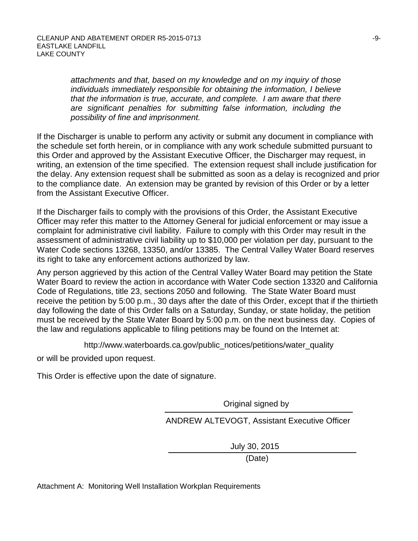*attachments and that, based on my knowledge and on my inquiry of those individuals immediately responsible for obtaining the information, I believe that the information is true, accurate, and complete. I am aware that there are significant penalties for submitting false information, including the possibility of fine and imprisonment.*

If the Discharger is unable to perform any activity or submit any document in compliance with the schedule set forth herein, or in compliance with any work schedule submitted pursuant to this Order and approved by the Assistant Executive Officer, the Discharger may request, in writing, an extension of the time specified. The extension request shall include justification for the delay. Any extension request shall be submitted as soon as a delay is recognized and prior to the compliance date. An extension may be granted by revision of this Order or by a letter from the Assistant Executive Officer.

If the Discharger fails to comply with the provisions of this Order, the Assistant Executive Officer may refer this matter to the Attorney General for judicial enforcement or may issue a complaint for administrative civil liability. Failure to comply with this Order may result in the assessment of administrative civil liability up to \$10,000 per violation per day, pursuant to the Water Code sections 13268, 13350, and/or 13385. The Central Valley Water Board reserves its right to take any enforcement actions authorized by law.

Any person aggrieved by this action of the Central Valley Water Board may petition the State Water Board to review the action in accordance with Water Code section 13320 and California Code of Regulations, title 23, sections 2050 and following. The State Water Board must receive the petition by 5:00 p.m., 30 days after the date of this Order, except that if the thirtieth day following the date of this Order falls on a Saturday, Sunday, or state holiday, the petition must be received by the State Water Board by 5:00 p.m. on the next business day. Copies of the law and regulations applicable to filing petitions may be found on the Internet at:

http://www.waterboards.ca.gov/public\_notices/petitions/water\_quality

or will be provided upon request.

This Order is effective upon the date of signature.

Original signed by

ANDREW ALTEVOGT, Assistant Executive Officer

July 30, 2015

(Date)

Attachment A: Monitoring Well Installation Workplan Requirements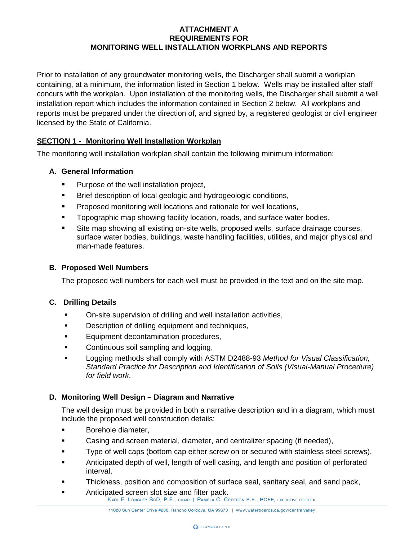### **ATTACHMENT A REQUIREMENTS FOR MONITORING WELL INSTALLATION WORKPLANS AND REPORTS**

Prior to installation of any groundwater monitoring wells, the Discharger shall submit a workplan containing, at a minimum, the information listed in Section 1 below. Wells may be installed after staff concurs with the workplan. Upon installation of the monitoring wells, the Discharger shall submit a well installation report which includes the information contained in Section 2 below. All workplans and reports must be prepared under the direction of, and signed by, a registered geologist or civil engineer licensed by the State of California.

## **SECTION 1 - Monitoring Well Installation Workplan**

The monitoring well installation workplan shall contain the following minimum information:

#### **A. General Information**

- Purpose of the well installation project,
- **Brief description of local geologic and hydrogeologic conditions,**
- **Proposed monitoring well locations and rationale for well locations,**
- **Topographic map showing facility location, roads, and surface water bodies,**
- Site map showing all existing on-site wells, proposed wells, surface drainage courses, surface water bodies, buildings, waste handling facilities, utilities, and major physical and man-made features.

#### **B. Proposed Well Numbers**

The proposed well numbers for each well must be provided in the text and on the site map.

#### **C. Drilling Details**

- On-site supervision of drilling and well installation activities,
- **Description of drilling equipment and techniques,**
- **Equipment decontamination procedures,**
- Continuous soil sampling and logging,
- Logging methods shall comply with ASTM D2488-93 *Method for Visual Classification, Standard Practice for Description and Identification of Soils (Visual-Manual Procedure) for field work*.

### **D. Monitoring Well Design – Diagram and Narrative**

The well design must be provided in both a narrative description and in a diagram, which must include the proposed well construction details:

- **Borehole diameter,**
- Casing and screen material, diameter, and centralizer spacing (if needed),
- **Type of well caps (bottom cap either screw on or secured with stainless steel screws),**
- Anticipated depth of well, length of well casing, and length and position of perforated interval,
- Thickness, position and composition of surface seal, sanitary seal, and sand pack,
	- Anticipated screen slot size and filter pack.<br>KARL E. LONGLEY SCD, P.E., CHAIR | PAMELA C. CREEDON P.E., BCEE, EXECUTIVE OFFICER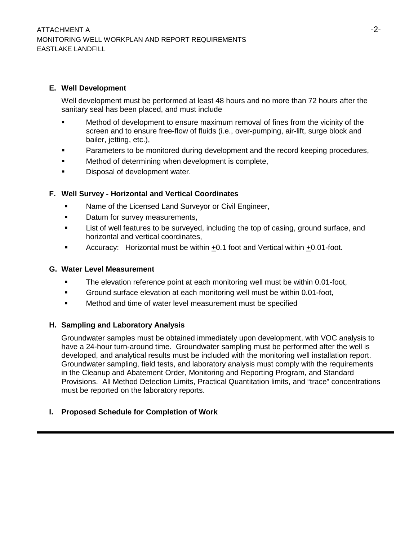### **E. Well Development**

Well development must be performed at least 48 hours and no more than 72 hours after the sanitary seal has been placed, and must include

- Method of development to ensure maximum removal of fines from the vicinity of the screen and to ensure free-flow of fluids (i.e., over-pumping, air-lift, surge block and bailer, jetting, etc.),
- Parameters to be monitored during development and the record keeping procedures,
- **EXECT** Method of determining when development is complete,
- **Disposal of development water.**

### **F. Well Survey - Horizontal and Vertical Coordinates**

- **Name of the Licensed Land Surveyor or Civil Engineer,**
- Datum for survey measurements,
- List of well features to be surveyed, including the top of casing, ground surface, and horizontal and vertical coordinates,
- Accuracy: Horizontal must be within  $\pm 0.1$  foot and Vertical within  $\pm 0.01$ -foot.

#### **G. Water Level Measurement**

- The elevation reference point at each monitoring well must be within 0.01-foot,
- Ground surface elevation at each monitoring well must be within 0.01-foot,
- Method and time of water level measurement must be specified

### **H. Sampling and Laboratory Analysis**

Groundwater samples must be obtained immediately upon development, with VOC analysis to have a 24-hour turn-around time. Groundwater sampling must be performed after the well is developed, and analytical results must be included with the monitoring well installation report. Groundwater sampling, field tests, and laboratory analysis must comply with the requirements in the Cleanup and Abatement Order, Monitoring and Reporting Program, and Standard Provisions. All Method Detection Limits, Practical Quantitation limits, and "trace" concentrations must be reported on the laboratory reports.

### **I. Proposed Schedule for Completion of Work**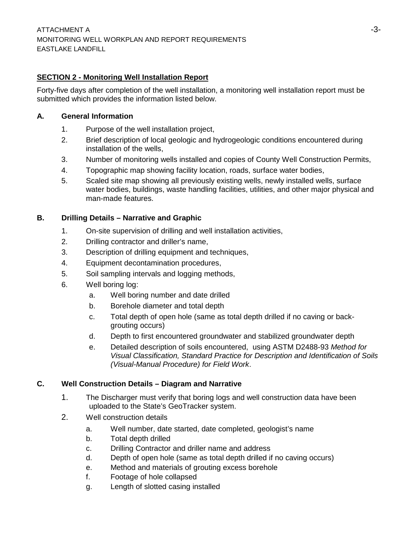### **SECTION 2 - Monitoring Well Installation Report**

Forty-five days after completion of the well installation, a monitoring well installation report must be submitted which provides the information listed below.

#### **A. General Information**

- 1. Purpose of the well installation project,
- 2. Brief description of local geologic and hydrogeologic conditions encountered during installation of the wells,
- 3. Number of monitoring wells installed and copies of County Well Construction Permits,
- 4. Topographic map showing facility location, roads, surface water bodies,
- 5. Scaled site map showing all previously existing wells, newly installed wells, surface water bodies, buildings, waste handling facilities, utilities, and other major physical and man-made features.

### **B. Drilling Details – Narrative and Graphic**

- 1. On-site supervision of drilling and well installation activities,
- 2. Drilling contractor and driller's name,
- 3. Description of drilling equipment and techniques,
- 4. Equipment decontamination procedures,
- 5. Soil sampling intervals and logging methods,
- 6. Well boring log:
	- a. Well boring number and date drilled
	- b. Borehole diameter and total depth
	- c. Total depth of open hole (same as total depth drilled if no caving or backgrouting occurs)
	- d. Depth to first encountered groundwater and stabilized groundwater depth
	- e. Detailed description of soils encountered, using ASTM D2488-93 *Method for Visual Classification, Standard Practice for Description and Identification of Soils (Visual-Manual Procedure) for Field Work*.

### **C. Well Construction Details – Diagram and Narrative**

- 1. The Discharger must verify that boring logs and well construction data have been uploaded to the State's GeoTracker system.
- 2. Well construction details
	- a. Well number, date started, date completed, geologist's name
	- b. Total depth drilled
	- c. Drilling Contractor and driller name and address
	- d. Depth of open hole (same as total depth drilled if no caving occurs)
	- e. Method and materials of grouting excess borehole
	- f. Footage of hole collapsed
	- g. Length of slotted casing installed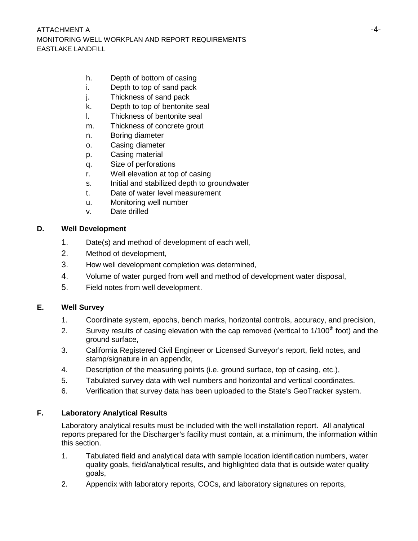- h. Depth of bottom of casing
- i. Depth to top of sand pack
- j. Thickness of sand pack
- k. Depth to top of bentonite seal
- l. Thickness of bentonite seal
- m. Thickness of concrete grout
- n. Boring diameter
- o. Casing diameter
- p. Casing material
- q. Size of perforations
- r. Well elevation at top of casing
- s. Initial and stabilized depth to groundwater
- t. Date of water level measurement
- u. Monitoring well number
- v. Date drilled

### **D. Well Development**

- 1. Date(s) and method of development of each well,
- 2. Method of development,
- 3. How well development completion was determined,
- 4. Volume of water purged from well and method of development water disposal,
- 5. Field notes from well development.

### **E. Well Survey**

- 1. Coordinate system, epochs, bench marks, horizontal controls, accuracy, and precision,
- 2. Survey results of casing elevation with the cap removed (vertical to  $1/100<sup>th</sup>$  foot) and the ground surface,
- 3. California Registered Civil Engineer or Licensed Surveyor's report, field notes, and stamp/signature in an appendix,
- 4. Description of the measuring points (i.e. ground surface, top of casing, etc.),
- 5. Tabulated survey data with well numbers and horizontal and vertical coordinates.
- 6. Verification that survey data has been uploaded to the State's GeoTracker system.

### **F. Laboratory Analytical Results**

Laboratory analytical results must be included with the well installation report. All analytical reports prepared for the Discharger's facility must contain, at a minimum, the information within this section.

- 1. Tabulated field and analytical data with sample location identification numbers, water quality goals, field/analytical results, and highlighted data that is outside water quality goals,
- 2. Appendix with laboratory reports, COCs, and laboratory signatures on reports,